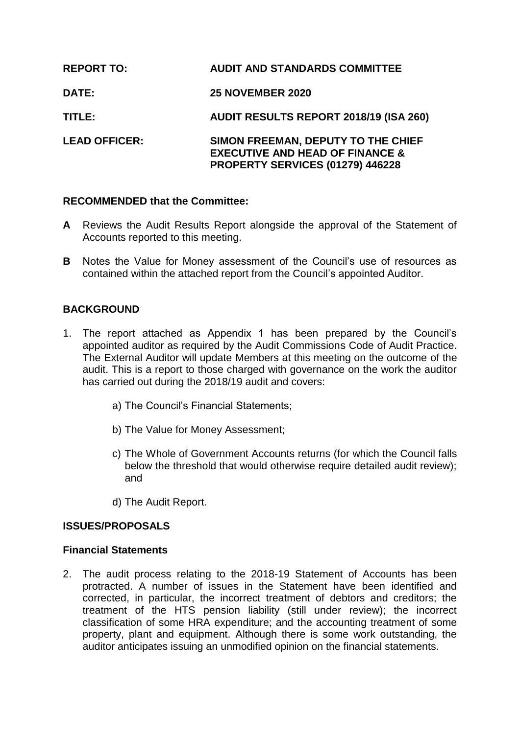| <b>REPORT TO:</b>    | <b>AUDIT AND STANDARDS COMMITTEE</b>                                                                                 |
|----------------------|----------------------------------------------------------------------------------------------------------------------|
| <b>DATE:</b>         | <b>25 NOVEMBER 2020</b>                                                                                              |
| TITLE:               | <b>AUDIT RESULTS REPORT 2018/19 (ISA 260)</b>                                                                        |
| <b>LEAD OFFICER:</b> | SIMON FREEMAN, DEPUTY TO THE CHIEF<br><b>EXECUTIVE AND HEAD OF FINANCE &amp;</b><br>PROPERTY SERVICES (01279) 446228 |

## **RECOMMENDED that the Committee:**

- **A** Reviews the Audit Results Report alongside the approval of the Statement of Accounts reported to this meeting.
- **B** Notes the Value for Money assessment of the Council's use of resources as contained within the attached report from the Council's appointed Auditor.

# **BACKGROUND**

- 1. The report attached as Appendix 1 has been prepared by the Council's appointed auditor as required by the Audit Commissions Code of Audit Practice. The External Auditor will update Members at this meeting on the outcome of the audit. This is a report to those charged with governance on the work the auditor has carried out during the 2018/19 audit and covers:
	- a) The Council's Financial Statements;
	- b) The Value for Money Assessment;
	- c) The Whole of Government Accounts returns (for which the Council falls below the threshold that would otherwise require detailed audit review); and
	- d) The Audit Report.

## **ISSUES/PROPOSALS**

#### **Financial Statements**

2. The audit process relating to the 2018-19 Statement of Accounts has been protracted. A number of issues in the Statement have been identified and corrected, in particular, the incorrect treatment of debtors and creditors; the treatment of the HTS pension liability (still under review); the incorrect classification of some HRA expenditure; and the accounting treatment of some property, plant and equipment. Although there is some work outstanding, the auditor anticipates issuing an unmodified opinion on the financial statements.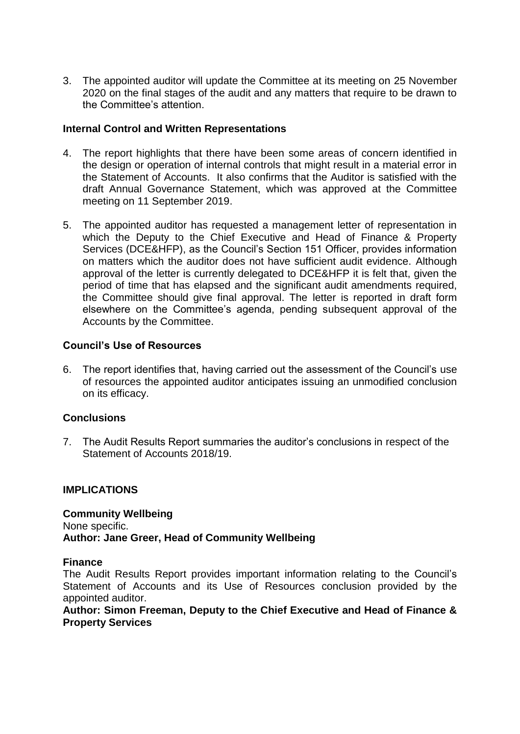3. The appointed auditor will update the Committee at its meeting on 25 November 2020 on the final stages of the audit and any matters that require to be drawn to the Committee's attention.

## **Internal Control and Written Representations**

- 4. The report highlights that there have been some areas of concern identified in the design or operation of internal controls that might result in a material error in the Statement of Accounts. It also confirms that the Auditor is satisfied with the draft Annual Governance Statement, which was approved at the Committee meeting on 11 September 2019.
- 5. The appointed auditor has requested a management letter of representation in which the Deputy to the Chief Executive and Head of Finance & Property Services (DCE&HFP), as the Council's Section 151 Officer, provides information on matters which the auditor does not have sufficient audit evidence. Although approval of the letter is currently delegated to DCE&HFP it is felt that, given the period of time that has elapsed and the significant audit amendments required, the Committee should give final approval. The letter is reported in draft form elsewhere on the Committee's agenda, pending subsequent approval of the Accounts by the Committee.

## **Council's Use of Resources**

6. The report identifies that, having carried out the assessment of the Council's use of resources the appointed auditor anticipates issuing an unmodified conclusion on its efficacy.

## **Conclusions**

7. The Audit Results Report summaries the auditor's conclusions in respect of the Statement of Accounts 2018/19.

#### **IMPLICATIONS**

**Community Wellbeing** None specific. **Author: Jane Greer, Head of Community Wellbeing** 

#### **Finance**

The Audit Results Report provides important information relating to the Council's Statement of Accounts and its Use of Resources conclusion provided by the appointed auditor.

### **Author: Simon Freeman, Deputy to the Chief Executive and Head of Finance & Property Services**